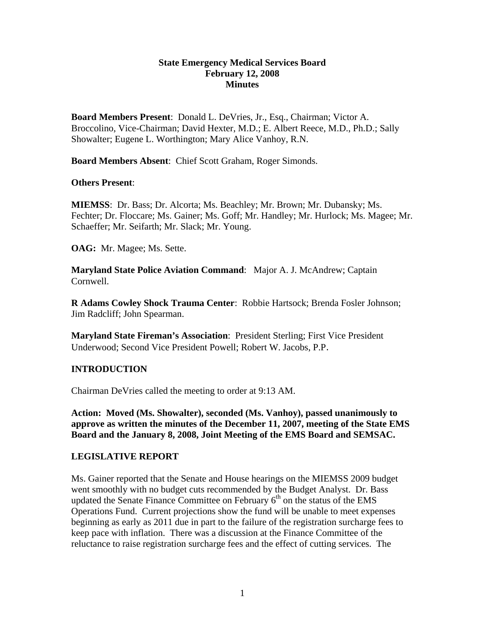### **State Emergency Medical Services Board February 12, 2008 Minutes**

**Board Members Present**: Donald L. DeVries, Jr., Esq., Chairman; Victor A. Broccolino, Vice-Chairman; David Hexter, M.D.; E. Albert Reece, M.D., Ph.D.; Sally Showalter; Eugene L. Worthington; Mary Alice Vanhoy, R.N.

**Board Members Absent**: Chief Scott Graham, Roger Simonds.

### **Others Present**:

**MIEMSS**: Dr. Bass; Dr. Alcorta; Ms. Beachley; Mr. Brown; Mr. Dubansky; Ms. Fechter; Dr. Floccare; Ms. Gainer; Ms. Goff; Mr. Handley; Mr. Hurlock; Ms. Magee; Mr. Schaeffer; Mr. Seifarth; Mr. Slack; Mr. Young.

**OAG:** Mr. Magee; Ms. Sette.

**Maryland State Police Aviation Command**: Major A. J. McAndrew; Captain Cornwell.

**R Adams Cowley Shock Trauma Center**: Robbie Hartsock; Brenda Fosler Johnson; Jim Radcliff; John Spearman.

**Maryland State Fireman's Association**: President Sterling; First Vice President Underwood; Second Vice President Powell; Robert W. Jacobs, P.P.

# **INTRODUCTION**

Chairman DeVries called the meeting to order at 9:13 AM.

**Action: Moved (Ms. Showalter), seconded (Ms. Vanhoy), passed unanimously to approve as written the minutes of the December 11, 2007, meeting of the State EMS Board and the January 8, 2008, Joint Meeting of the EMS Board and SEMSAC.** 

### **LEGISLATIVE REPORT**

Ms. Gainer reported that the Senate and House hearings on the MIEMSS 2009 budget went smoothly with no budget cuts recommended by the Budget Analyst. Dr. Bass updated the Senate Finance Committee on February  $6<sup>th</sup>$  on the status of the EMS Operations Fund. Current projections show the fund will be unable to meet expenses beginning as early as 2011 due in part to the failure of the registration surcharge fees to keep pace with inflation. There was a discussion at the Finance Committee of the reluctance to raise registration surcharge fees and the effect of cutting services. The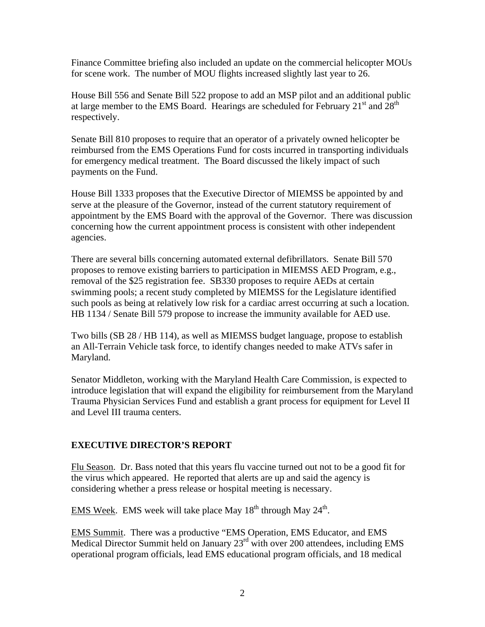Finance Committee briefing also included an update on the commercial helicopter MOUs for scene work. The number of MOU flights increased slightly last year to 26.

House Bill 556 and Senate Bill 522 propose to add an MSP pilot and an additional public at large member to the EMS Board. Hearings are scheduled for February  $21<sup>st</sup>$  and  $28<sup>th</sup>$ respectively.

Senate Bill 810 proposes to require that an operator of a privately owned helicopter be reimbursed from the EMS Operations Fund for costs incurred in transporting individuals for emergency medical treatment. The Board discussed the likely impact of such payments on the Fund.

House Bill 1333 proposes that the Executive Director of MIEMSS be appointed by and serve at the pleasure of the Governor, instead of the current statutory requirement of appointment by the EMS Board with the approval of the Governor. There was discussion concerning how the current appointment process is consistent with other independent agencies.

There are several bills concerning automated external defibrillators. Senate Bill 570 proposes to remove existing barriers to participation in MIEMSS AED Program, e.g., removal of the \$25 registration fee. SB330 proposes to require AEDs at certain swimming pools; a recent study completed by MIEMSS for the Legislature identified such pools as being at relatively low risk for a cardiac arrest occurring at such a location. HB 1134 / Senate Bill 579 propose to increase the immunity available for AED use.

Two bills (SB 28 / HB 114), as well as MIEMSS budget language, propose to establish an All-Terrain Vehicle task force, to identify changes needed to make ATVs safer in Maryland.

Senator Middleton, working with the Maryland Health Care Commission, is expected to introduce legislation that will expand the eligibility for reimbursement from the Maryland Trauma Physician Services Fund and establish a grant process for equipment for Level II and Level III trauma centers.

# **EXECUTIVE DIRECTOR'S REPORT**

Flu Season. Dr. Bass noted that this years flu vaccine turned out not to be a good fit for the virus which appeared. He reported that alerts are up and said the agency is considering whether a press release or hospital meeting is necessary.

EMS Week. EMS week will take place May  $18<sup>th</sup>$  through May  $24<sup>th</sup>$ .

EMS Summit. There was a productive "EMS Operation, EMS Educator, and EMS Medical Director Summit held on January 23<sup>rd</sup> with over 200 attendees, including EMS operational program officials, lead EMS educational program officials, and 18 medical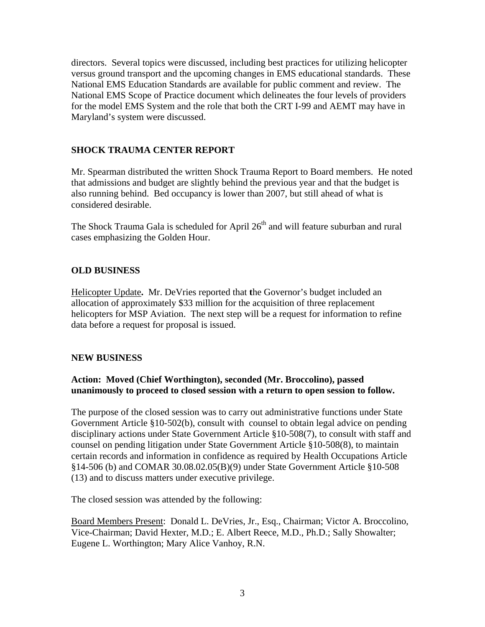directors. Several topics were discussed, including best practices for utilizing helicopter versus ground transport and the upcoming changes in EMS educational standards. These National EMS Education Standards are available for public comment and review. The National EMS Scope of Practice document which delineates the four levels of providers for the model EMS System and the role that both the CRT I-99 and AEMT may have in Maryland's system were discussed.

### **SHOCK TRAUMA CENTER REPORT**

Mr. Spearman distributed the written Shock Trauma Report to Board members. He noted that admissions and budget are slightly behind the previous year and that the budget is also running behind. Bed occupancy is lower than 2007, but still ahead of what is considered desirable.

The Shock Trauma Gala is scheduled for April 26<sup>th</sup> and will feature suburban and rural cases emphasizing the Golden Hour.

### **OLD BUSINESS**

Helicopter Update**.** Mr. DeVries reported that **t**he Governor's budget included an allocation of approximately \$33 million for the acquisition of three replacement helicopters for MSP Aviation. The next step will be a request for information to refine data before a request for proposal is issued.

### **NEW BUSINESS**

### **Action: Moved (Chief Worthington), seconded (Mr. Broccolino), passed unanimously to proceed to closed session with a return to open session to follow.**

The purpose of the closed session was to carry out administrative functions under State Government Article §10-502(b), consult with counsel to obtain legal advice on pending disciplinary actions under State Government Article §10-508(7), to consult with staff and counsel on pending litigation under State Government Article §10-508(8), to maintain certain records and information in confidence as required by Health Occupations Article §14-506 (b) and COMAR 30.08.02.05(B)(9) under State Government Article §10-508 (13) and to discuss matters under executive privilege.

The closed session was attended by the following:

Board Members Present: Donald L. DeVries, Jr., Esq., Chairman; Victor A. Broccolino, Vice-Chairman; David Hexter, M.D.; E. Albert Reece, M.D., Ph.D.; Sally Showalter; Eugene L. Worthington; Mary Alice Vanhoy, R.N.